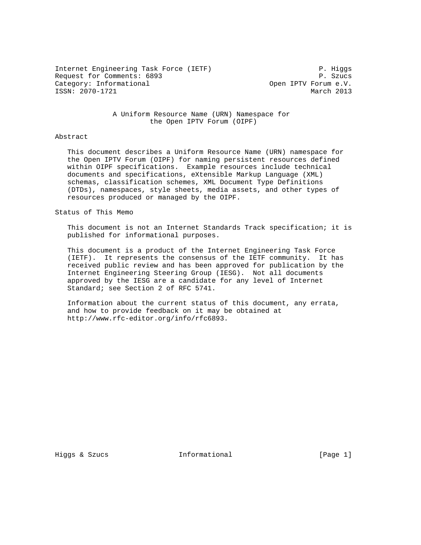Internet Engineering Task Force (IETF) P. Higgs Request for Comments: 6893 P. Szucs Category: Informational  $Open$  IPTV Forum e.V. ISSN: 2070-1721 March 2013

 A Uniform Resource Name (URN) Namespace for the Open IPTV Forum (OIPF)

#### Abstract

 This document describes a Uniform Resource Name (URN) namespace for the Open IPTV Forum (OIPF) for naming persistent resources defined within OIPF specifications. Example resources include technical documents and specifications, eXtensible Markup Language (XML) schemas, classification schemes, XML Document Type Definitions (DTDs), namespaces, style sheets, media assets, and other types of resources produced or managed by the OIPF.

# Status of This Memo

 This document is not an Internet Standards Track specification; it is published for informational purposes.

 This document is a product of the Internet Engineering Task Force (IETF). It represents the consensus of the IETF community. It has received public review and has been approved for publication by the Internet Engineering Steering Group (IESG). Not all documents approved by the IESG are a candidate for any level of Internet Standard; see Section 2 of RFC 5741.

 Information about the current status of this document, any errata, and how to provide feedback on it may be obtained at http://www.rfc-editor.org/info/rfc6893.

Higgs & Szucs **Informational** [Page 1]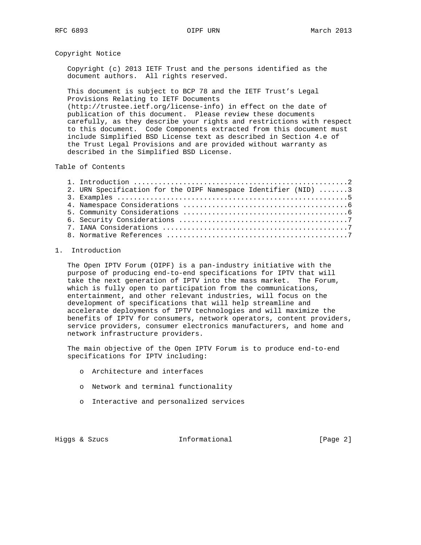Copyright Notice

 Copyright (c) 2013 IETF Trust and the persons identified as the document authors. All rights reserved.

 This document is subject to BCP 78 and the IETF Trust's Legal Provisions Relating to IETF Documents (http://trustee.ietf.org/license-info) in effect on the date of publication of this document. Please review these documents carefully, as they describe your rights and restrictions with respect to this document. Code Components extracted from this document must include Simplified BSD License text as described in Section 4.e of the Trust Legal Provisions and are provided without warranty as

Table of Contents

| 2. URN Specification for the OIPF Namespace Identifier (NID) 3 |  |
|----------------------------------------------------------------|--|
|                                                                |  |
|                                                                |  |
|                                                                |  |
|                                                                |  |
|                                                                |  |
|                                                                |  |

# 1. Introduction

 The Open IPTV Forum (OIPF) is a pan-industry initiative with the purpose of producing end-to-end specifications for IPTV that will take the next generation of IPTV into the mass market. The Forum, which is fully open to participation from the communications, entertainment, and other relevant industries, will focus on the development of specifications that will help streamline and accelerate deployments of IPTV technologies and will maximize the benefits of IPTV for consumers, network operators, content providers, service providers, consumer electronics manufacturers, and home and network infrastructure providers.

 The main objective of the Open IPTV Forum is to produce end-to-end specifications for IPTV including:

o Architecture and interfaces

described in the Simplified BSD License.

- o Network and terminal functionality
- o Interactive and personalized services

Higgs & Szucs **Informational** [Page 2]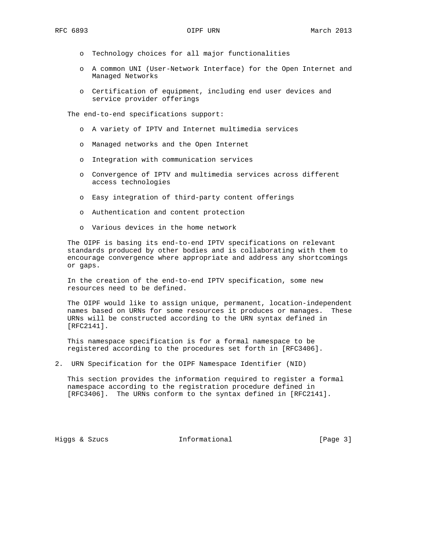- o Technology choices for all major functionalities
- o A common UNI (User-Network Interface) for the Open Internet and Managed Networks
- o Certification of equipment, including end user devices and service provider offerings

The end-to-end specifications support:

- o A variety of IPTV and Internet multimedia services
- o Managed networks and the Open Internet
- o Integration with communication services
- o Convergence of IPTV and multimedia services across different access technologies
- o Easy integration of third-party content offerings
- o Authentication and content protection
- o Various devices in the home network

 The OIPF is basing its end-to-end IPTV specifications on relevant standards produced by other bodies and is collaborating with them to encourage convergence where appropriate and address any shortcomings or gaps.

 In the creation of the end-to-end IPTV specification, some new resources need to be defined.

 The OIPF would like to assign unique, permanent, location-independent names based on URNs for some resources it produces or manages. These URNs will be constructed according to the URN syntax defined in [RFC2141].

 This namespace specification is for a formal namespace to be registered according to the procedures set forth in [RFC3406].

2. URN Specification for the OIPF Namespace Identifier (NID)

 This section provides the information required to register a formal namespace according to the registration procedure defined in [RFC3406]. The URNs conform to the syntax defined in [RFC2141].

Higgs & Szucs **Informational** [Page 3]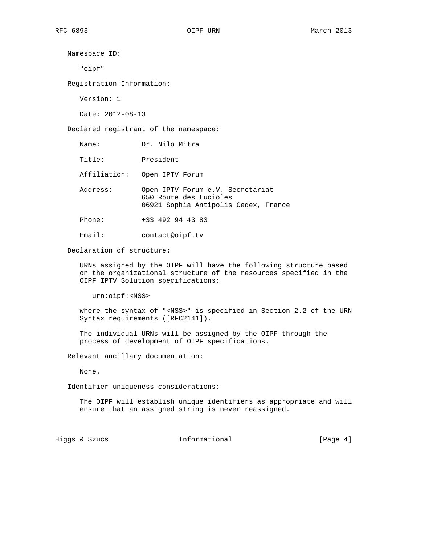Namespace ID: "oipf" Registration Information:

Version: 1

Date: 2012-08-13

Declared registrant of the namespace:

Name: Dr. Nilo Mitra

Title: President

Affiliation: Open IPTV Forum

 Address: Open IPTV Forum e.V. Secretariat 650 Route des Lucioles 06921 Sophia Antipolis Cedex, France

Phone: +33 492 94 43 83

Email: contact@oipf.tv

Declaration of structure:

 URNs assigned by the OIPF will have the following structure based on the organizational structure of the resources specified in the OIPF IPTV Solution specifications:

urn:oipf:<NSS>

 where the syntax of "<NSS>" is specified in Section 2.2 of the URN Syntax requirements ([RFC2141]).

 The individual URNs will be assigned by the OIPF through the process of development of OIPF specifications.

Relevant ancillary documentation:

None.

Identifier uniqueness considerations:

 The OIPF will establish unique identifiers as appropriate and will ensure that an assigned string is never reassigned.

Higgs & Szucs **Informational** [Page 4]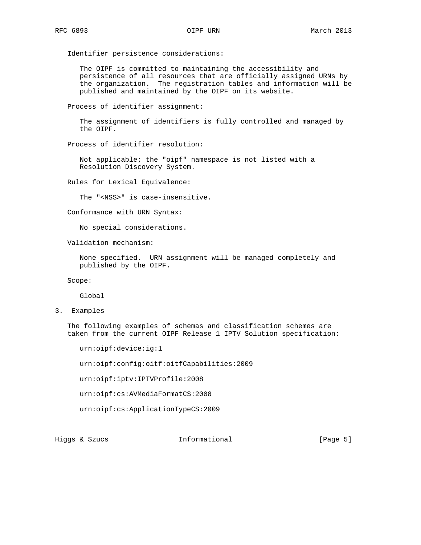Identifier persistence considerations:

 The OIPF is committed to maintaining the accessibility and persistence of all resources that are officially assigned URNs by the organization. The registration tables and information will be published and maintained by the OIPF on its website.

Process of identifier assignment:

 The assignment of identifiers is fully controlled and managed by the OIPF.

Process of identifier resolution:

 Not applicable; the "oipf" namespace is not listed with a Resolution Discovery System.

Rules for Lexical Equivalence:

The "<NSS>" is case-insensitive.

Conformance with URN Syntax:

No special considerations.

Validation mechanism:

 None specified. URN assignment will be managed completely and published by the OIPF.

Scope:

Global

3. Examples

 The following examples of schemas and classification schemes are taken from the current OIPF Release 1 IPTV Solution specification:

urn:oipf:device:ig:1

urn:oipf:config:oitf:oitfCapabilities:2009

urn:oipf:iptv:IPTVProfile:2008

urn:oipf:cs:AVMediaFormatCS:2008

urn:oipf:cs:ApplicationTypeCS:2009

Higgs & Szucs **Informational** [Page 5]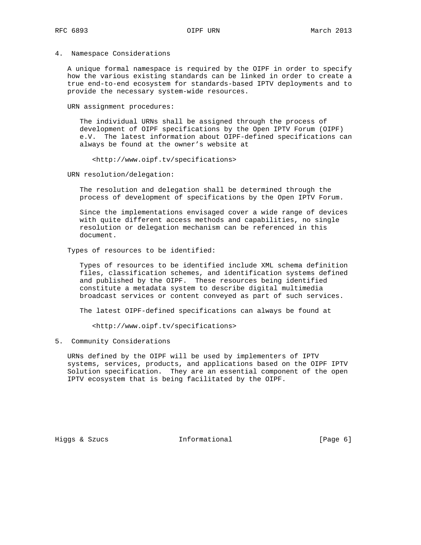# 4. Namespace Considerations

 A unique formal namespace is required by the OIPF in order to specify how the various existing standards can be linked in order to create a true end-to-end ecosystem for standards-based IPTV deployments and to provide the necessary system-wide resources.

URN assignment procedures:

 The individual URNs shall be assigned through the process of development of OIPF specifications by the Open IPTV Forum (OIPF) e.V. The latest information about OIPF-defined specifications can always be found at the owner's website at

<http://www.oipf.tv/specifications>

URN resolution/delegation:

 The resolution and delegation shall be determined through the process of development of specifications by the Open IPTV Forum.

 Since the implementations envisaged cover a wide range of devices with quite different access methods and capabilities, no single resolution or delegation mechanism can be referenced in this document.

Types of resources to be identified:

 Types of resources to be identified include XML schema definition files, classification schemes, and identification systems defined and published by the OIPF. These resources being identified constitute a metadata system to describe digital multimedia broadcast services or content conveyed as part of such services.

The latest OIPF-defined specifications can always be found at

<http://www.oipf.tv/specifications>

5. Community Considerations

 URNs defined by the OIPF will be used by implementers of IPTV systems, services, products, and applications based on the OIPF IPTV Solution specification. They are an essential component of the open IPTV ecosystem that is being facilitated by the OIPF.

Higgs & Szucs **Informational** [Page 6]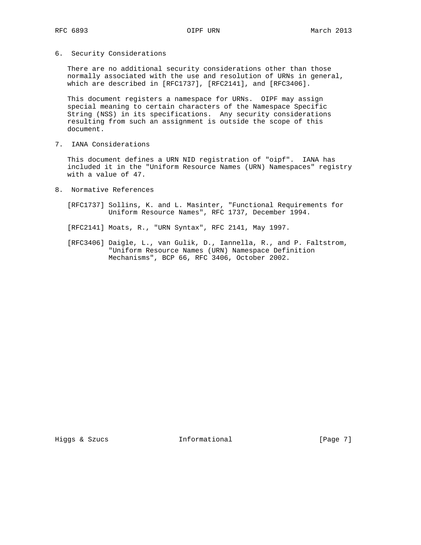# 6. Security Considerations

 There are no additional security considerations other than those normally associated with the use and resolution of URNs in general, which are described in [RFC1737], [RFC2141], and [RFC3406].

 This document registers a namespace for URNs. OIPF may assign special meaning to certain characters of the Namespace Specific String (NSS) in its specifications. Any security considerations resulting from such an assignment is outside the scope of this document.

7. IANA Considerations

 This document defines a URN NID registration of "oipf". IANA has included it in the "Uniform Resource Names (URN) Namespaces" registry with a value of 47.

- 8. Normative References
	- [RFC1737] Sollins, K. and L. Masinter, "Functional Requirements for Uniform Resource Names", RFC 1737, December 1994.
	- [RFC2141] Moats, R., "URN Syntax", RFC 2141, May 1997.
	- [RFC3406] Daigle, L., van Gulik, D., Iannella, R., and P. Faltstrom, "Uniform Resource Names (URN) Namespace Definition Mechanisms", BCP 66, RFC 3406, October 2002.

Higgs & Szucs **Informational** [Page 7]